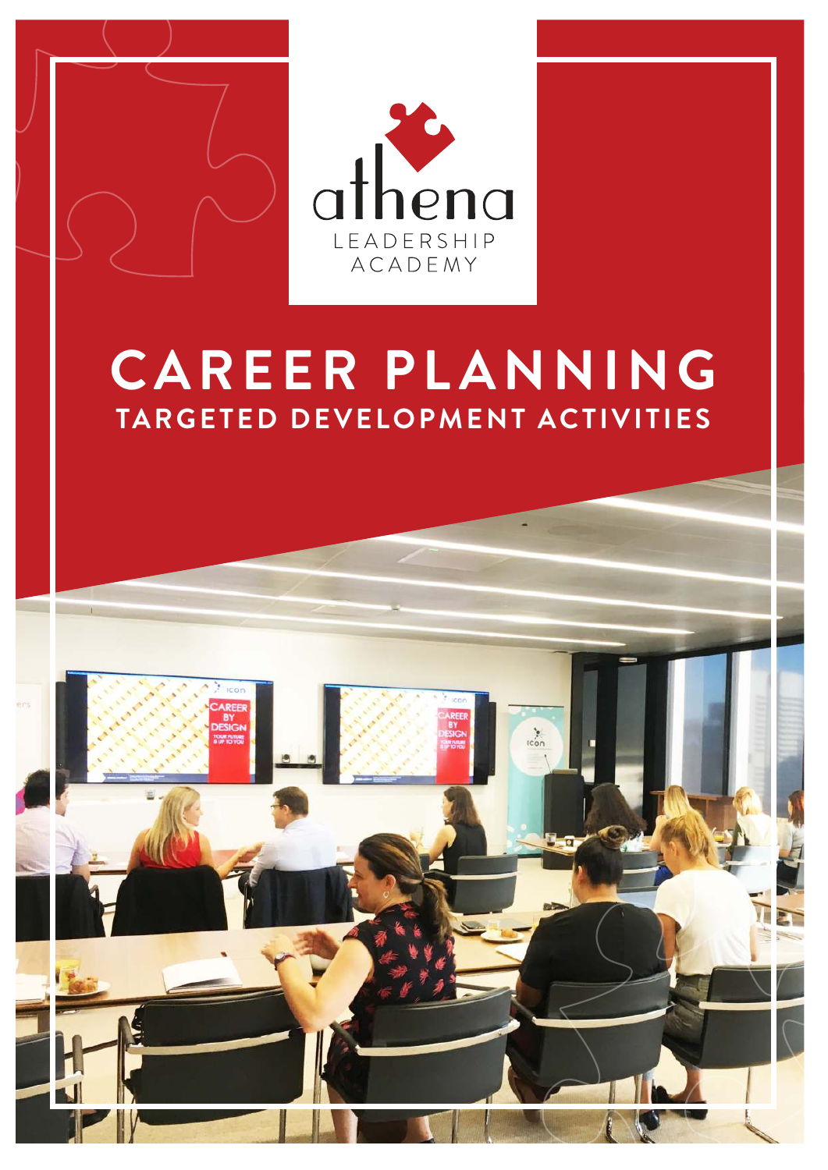

# *CAREER PLANNING TARGETED DEVELOPMENT ACTIVITIES*

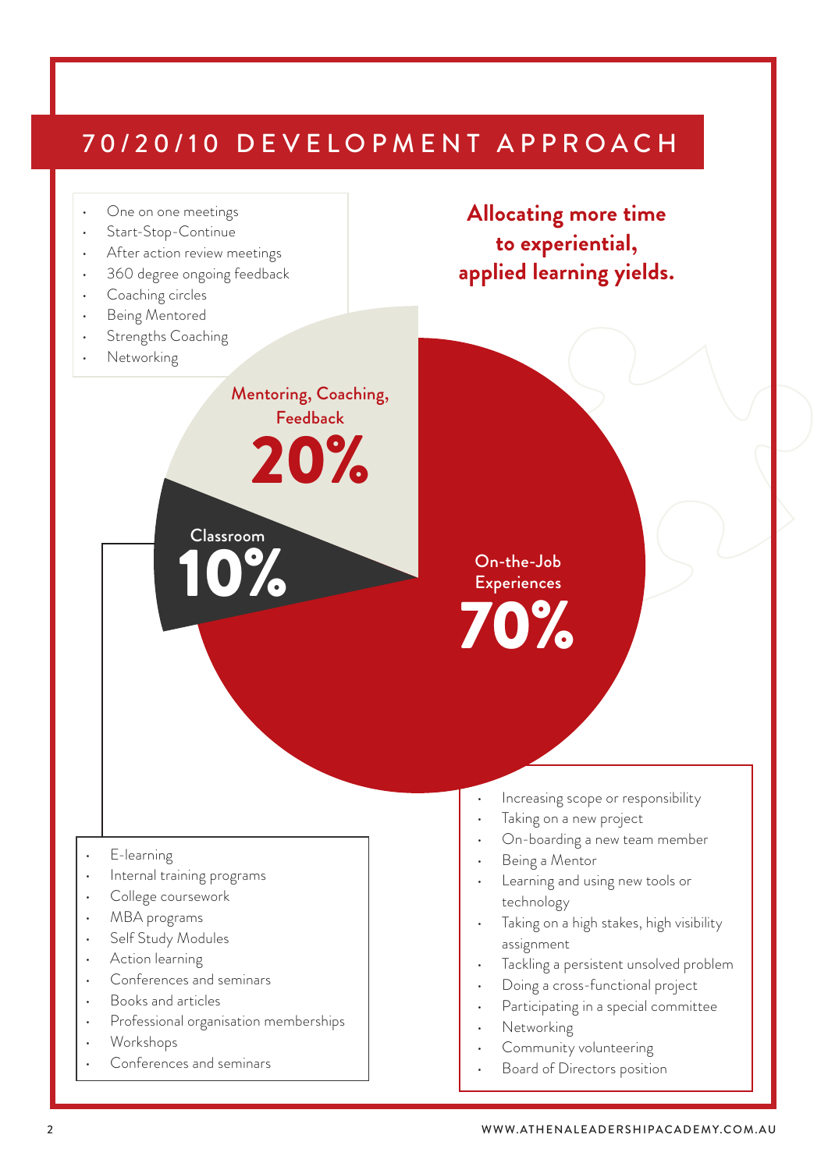# 70/20/10 DEVELOPMENT APPROACH

Mentoring, Coaching, Feedback

20%



- Start-Stop-Continue
- After action review meetings
- 360 degree ongoing feedback

Classroom

10%

- Coaching circles
- Being Mentored
- Strengths Coaching
- Networking

*Allocating more time to experiential, applied learning yields.*

On-the-Job **Experiences** 70%

- E-learning
- Internal training programs
- College coursework
- MBA programs
- Self Study Modules
- Action learning
- Conferences and seminars
- Books and articles
- Professional organisation memberships
- Workshops
- Conferences and seminars
- Increasing scope or responsibility
- Taking on a new project
- On-boarding a new team member
- Being a Mentor
- Learning and using new tools or technology
- Taking on a high stakes, high visibility assignment
- Tackling a persistent unsolved problem
- Doing a cross-functional project
- Participating in a special committee
- **Networking**
- Community volunteering
- Board of Directors position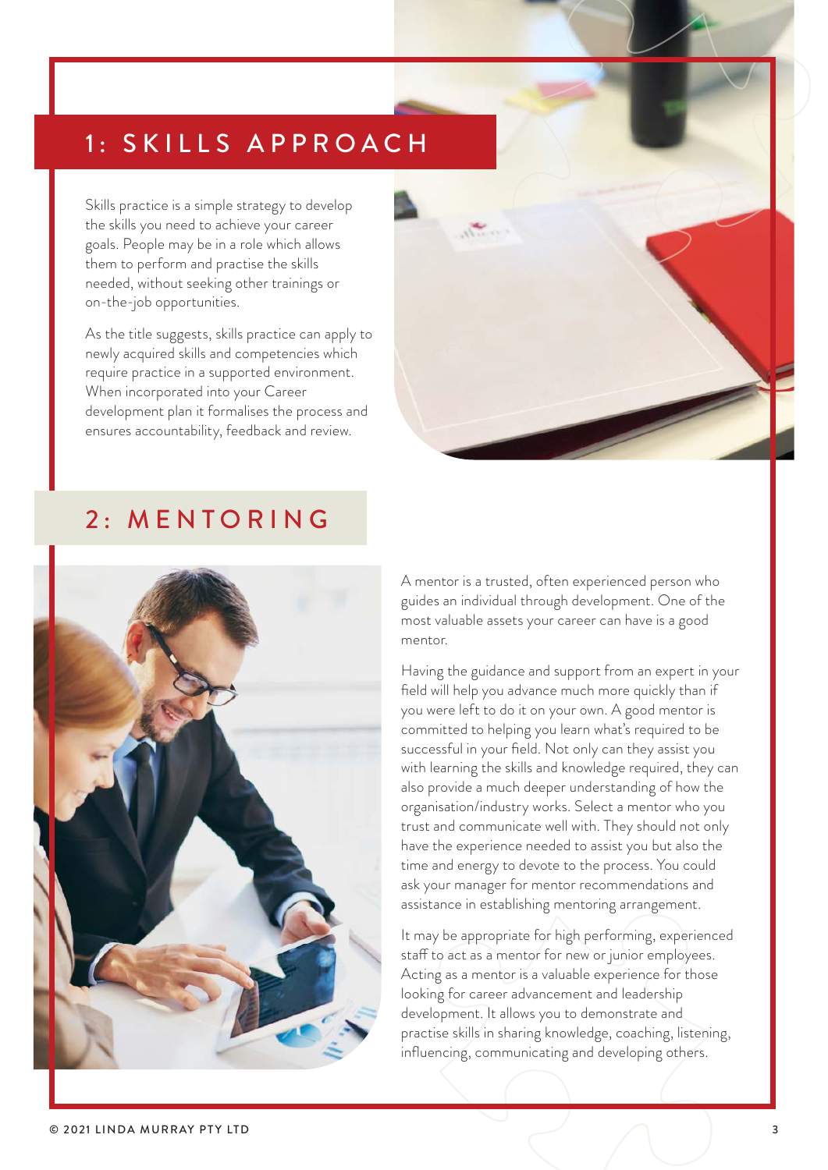### 1: SKILLS APPROACH

Skills practice is a simple strategy to develop the skills you need to achieve your career goals. People may be in a role which allows them to perform and practise the skills needed, without seeking other trainings or on-the-job opportunities.

As the title suggests, skills practice can apply to newly acquired skills and competencies which require practice in a supported environment. When incorporated into your Career development plan it formalises the process and ensures accountability, feedback and review.



### 2: MENTORING



A mentor is a trusted, often experienced person who guides an individual through development. One of the most valuable assets your career can have is a good mentor.

Having the guidance and support from an expert in your field will help you advance much more quickly than if you were left to do it on your own. A good mentor is committed to helping you learn what's required to be successful in your field. Not only can they assist you with learning the skills and knowledge required, they can also provide a much deeper understanding of how the organisation/industry works. Select a mentor who you trust and communicate well with. They should not only have the experience needed to assist you but also the time and energy to devote to the process. You could ask your manager for mentor recommendations and assistance in establishing mentoring arrangement.

It may be appropriate for high performing, experienced staff to act as a mentor for new or junior employees. Acting as a mentor is a valuable experience for those looking for career advancement and leadership development. It allows you to demonstrate and practise skills in sharing knowledge, coaching, listening, influencing, communicating and developing others.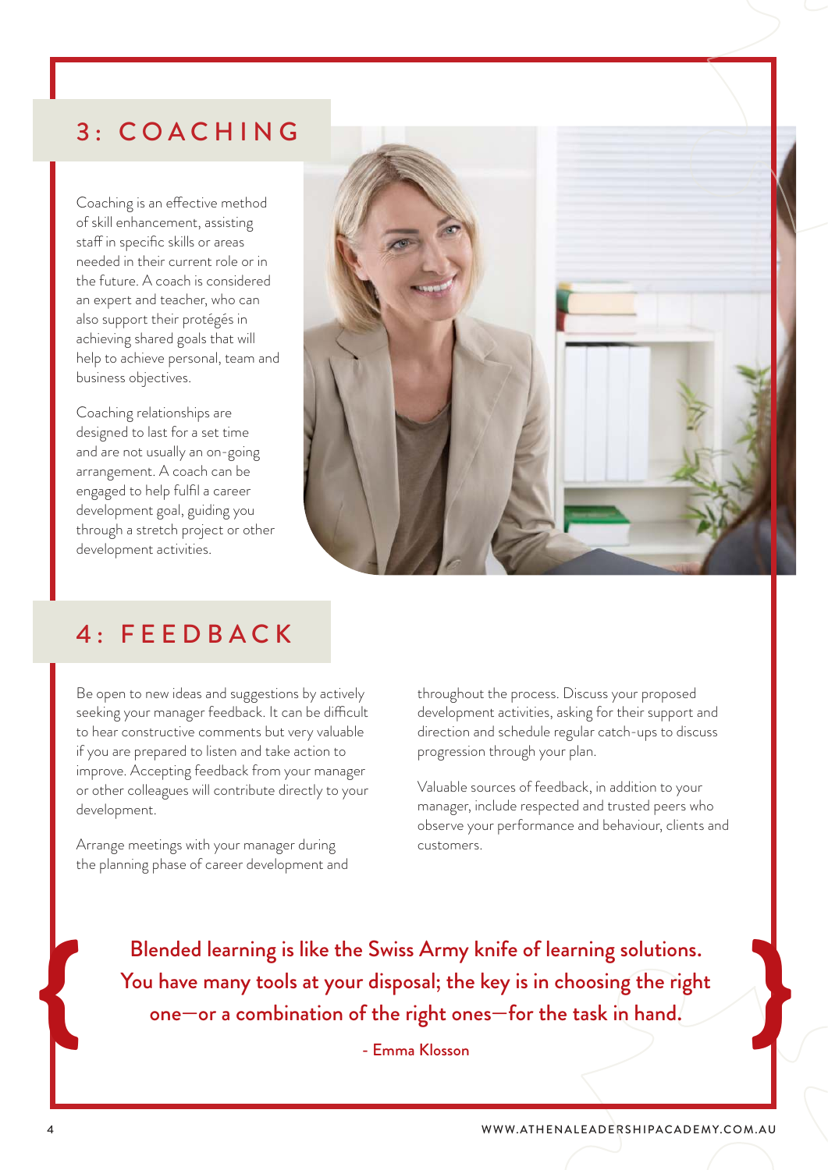### 3: COACHING

Coaching is an effective method of skill enhancement, assisting staff in specific skills or areas needed in their current role or in the future. A coach is considered an expert and teacher, who can also support their protégés in achieving shared goals that will help to achieve personal, team and business objectives.

Coaching relationships are designed to last for a set time and are not usually an on-going arrangement. A coach can be engaged to help fulfil a career development goal, guiding you through a stretch project or other development activities.



### 4: FEEDBACK

Be open to new ideas and suggestions by actively seeking your manager feedback. It can be difficult to hear constructive comments but very valuable if you are prepared to listen and take action to improve. Accepting feedback from your manager or other colleagues will contribute directly to your development.

Arrange meetings with your manager during the planning phase of career development and throughout the process. Discuss your proposed development activities, asking for their support and direction and schedule regular catch-ups to discuss progression through your plan.

Valuable sources of feedback, in addition to your manager, include respected and trusted peers who observe your performance and behaviour, clients and customers.

You have many tools at your disposal; the key is in choosing the right Blended learning is like the Swiss Army knife of learning solutions.<br>
Sou have many tools at your disposal; the key is in choosing the right<br>
one—or a combination of the right ones—for the task in hand. one—or a combination of the right ones—for the task in hand.

- Emma Klosson

{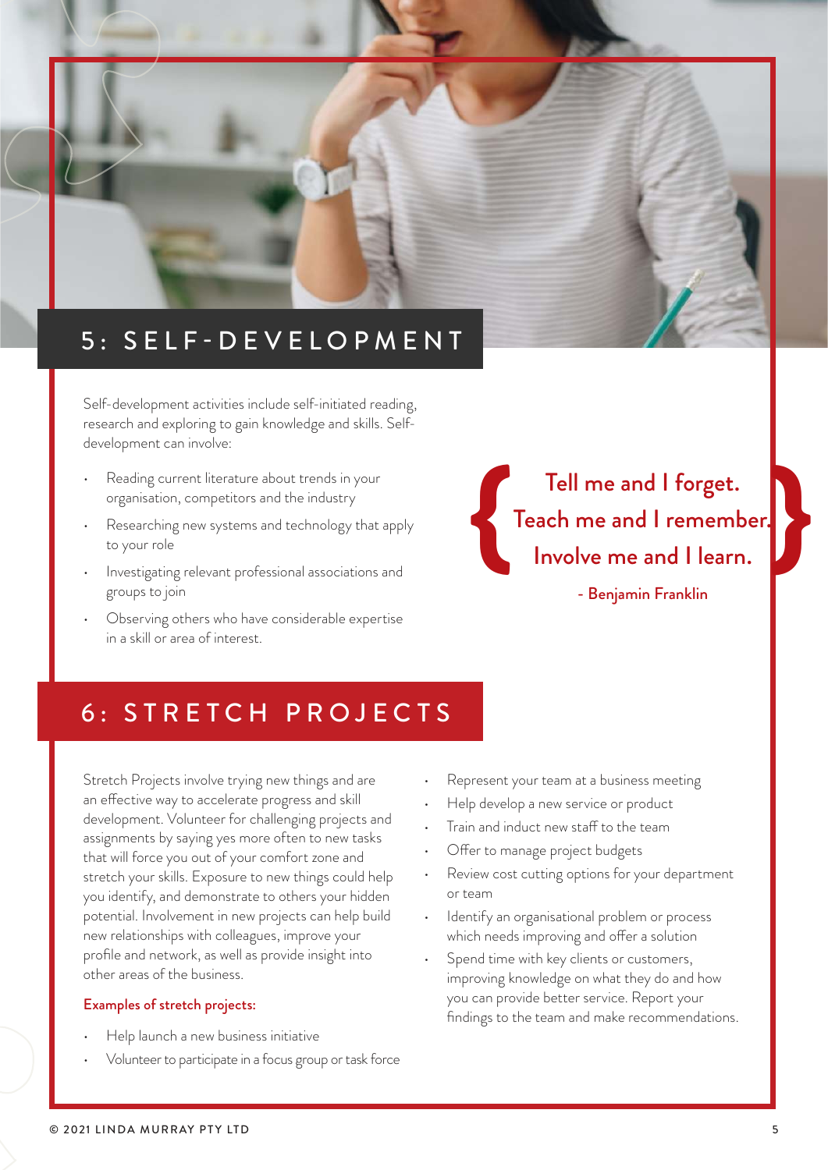

Self-development activities include self-initiated reading, research and exploring to gain knowledge and skills. Selfdevelopment can involve:

- Reading current literature about trends in your organisation, competitors and the industry
- Researching new systems and technology that apply to your role
- Investigating relevant professional associations and groups to join
- Observing others who have considerable expertise in a skill or area of interest.

Tell me and I forget. Teach me and I remember. Involve me and I learn. - Benjamin Franklin {

### 6: STRETCH PROJECTS

Stretch Projects involve trying new things and are an effective way to accelerate progress and skill development. Volunteer for challenging projects and assignments by saying yes more often to new tasks that will force you out of your comfort zone and stretch your skills. Exposure to new things could help you identify, and demonstrate to others your hidden potential. Involvement in new projects can help build new relationships with colleagues, improve your profile and network, as well as provide insight into other areas of the business.

#### Examples of stretch projects:

- Help launch a new business initiative
- Volunteer to participate in a focus group or task force
- Represent your team at a business meeting
- Help develop a new service or product
- Train and induct new staff to the team
- Offer to manage project budgets
- Review cost cutting options for your department or team
- Identify an organisational problem or process which needs improving and offer a solution
- Spend time with key clients or customers, improving knowledge on what they do and how you can provide better service. Report your findings to the team and make recommendations.

}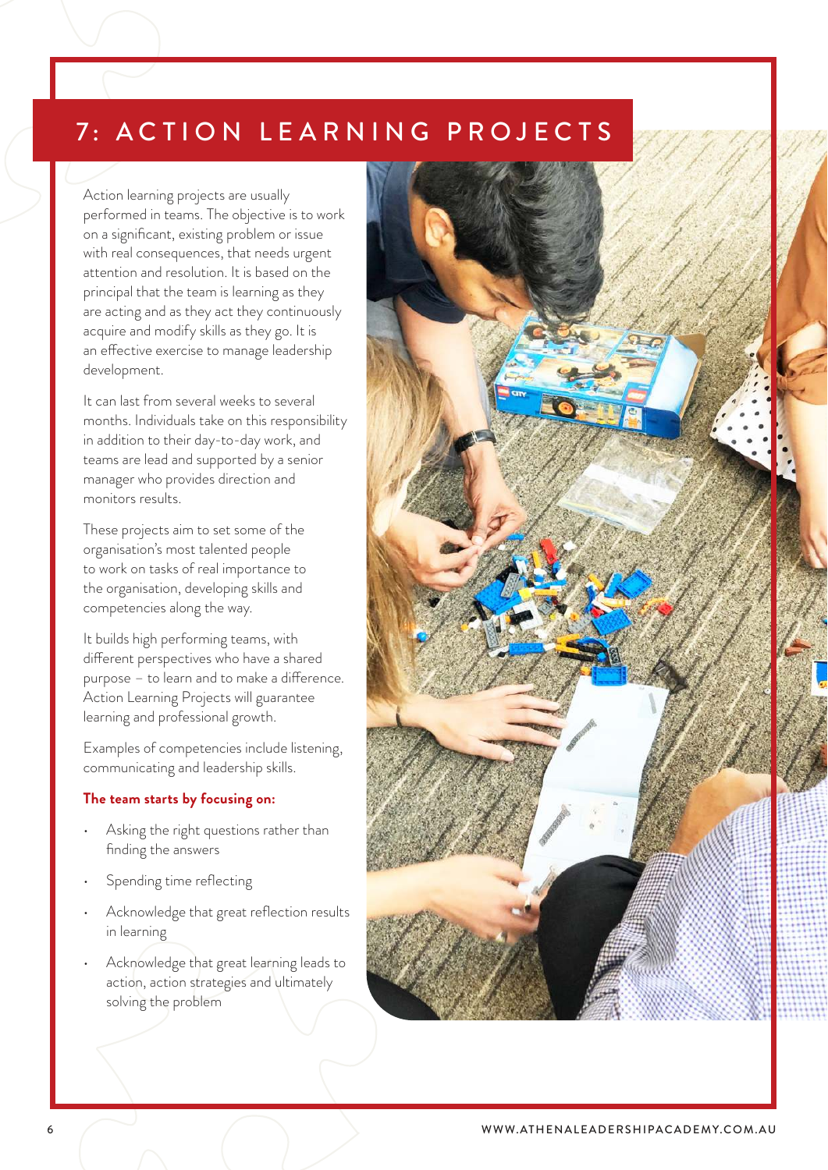# 7: ACTION LEARNING PROJECTS

Action learning projects are usually performed in teams. The objective is to work on a significant, existing problem or issue with real consequences, that needs urgent attention and resolution. It is based on the principal that the team is learning as they are acting and as they act they continuously acquire and modify skills as they go. It is an effective exercise to manage leadership development.

It can last from several weeks to several months. Individuals take on this responsibility in addition to their day-to-day work, and teams are lead and supported by a senior manager who provides direction and monitors results.

These projects aim to set some of the organisation's most talented people to work on tasks of real importance to the organisation, developing skills and competencies along the way.

It builds high performing teams, with different perspectives who have a shared purpose – to learn and to make a difference. Action Learning Projects will guarantee learning and professional growth.

Examples of competencies include listening, communicating and leadership skills.

#### *The team starts by focusing on:*

- Asking the right questions rather than finding the answers
- Spending time reflecting
- Acknowledge that great reflection results in learning
- Acknowledge that great learning leads to action, action strategies and ultimately solving the problem

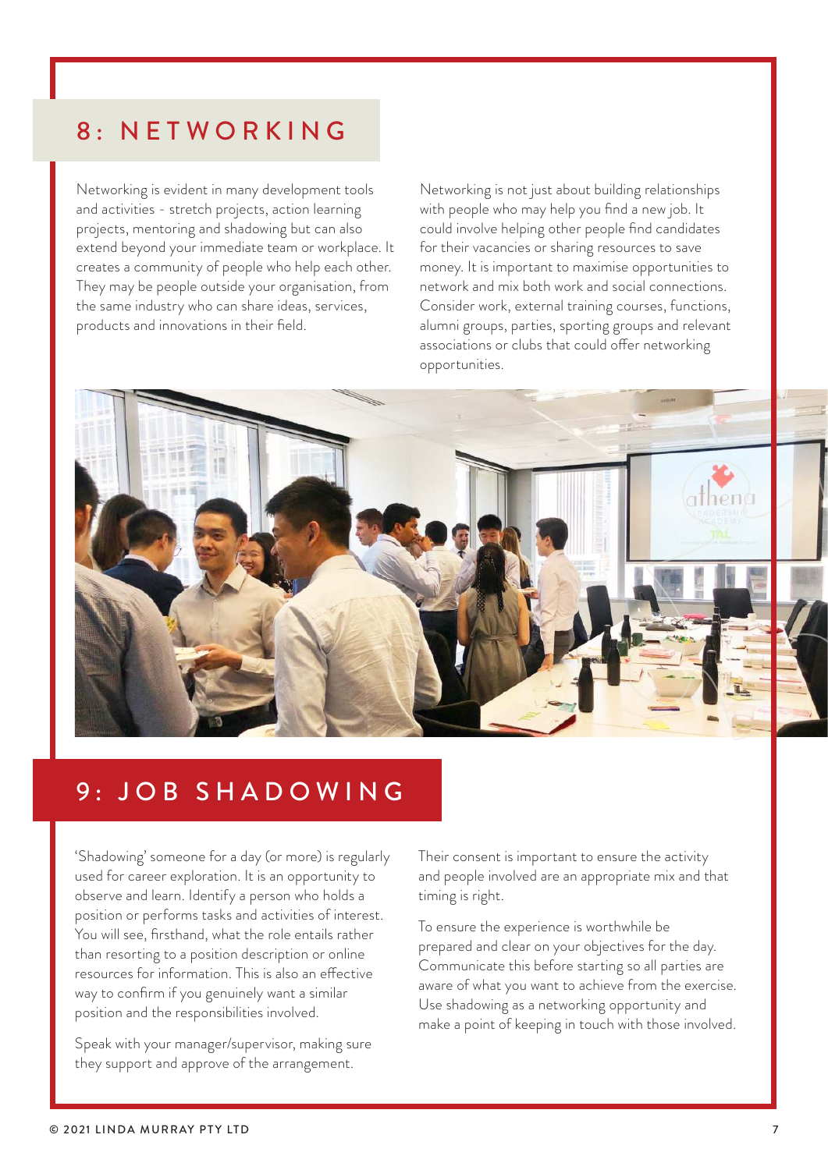### 8: NETWORKING

Networking is evident in many development tools and activities - stretch projects, action learning projects, mentoring and shadowing but can also extend beyond your immediate team or workplace. It creates a community of people who help each other. They may be people outside your organisation, from the same industry who can share ideas, services, products and innovations in their field.

Networking is not just about building relationships with people who may help you find a new job. It could involve helping other people find candidates for their vacancies or sharing resources to save money. It is important to maximise opportunities to network and mix both work and social connections. Consider work, external training courses, functions, alumni groups, parties, sporting groups and relevant associations or clubs that could offer networking opportunities.



### 9: JOB SHADOWING

'Shadowing' someone for a day (or more) is regularly used for career exploration. It is an opportunity to observe and learn. Identify a person who holds a position or performs tasks and activities of interest. You will see, firsthand, what the role entails rather than resorting to a position description or online resources for information. This is also an effective way to confirm if you genuinely want a similar position and the responsibilities involved.

Speak with your manager/supervisor, making sure they support and approve of the arrangement.

Their consent is important to ensure the activity and people involved are an appropriate mix and that timing is right.

To ensure the experience is worthwhile be prepared and clear on your objectives for the day. Communicate this before starting so all parties are aware of what you want to achieve from the exercise. Use shadowing as a networking opportunity and make a point of keeping in touch with those involved.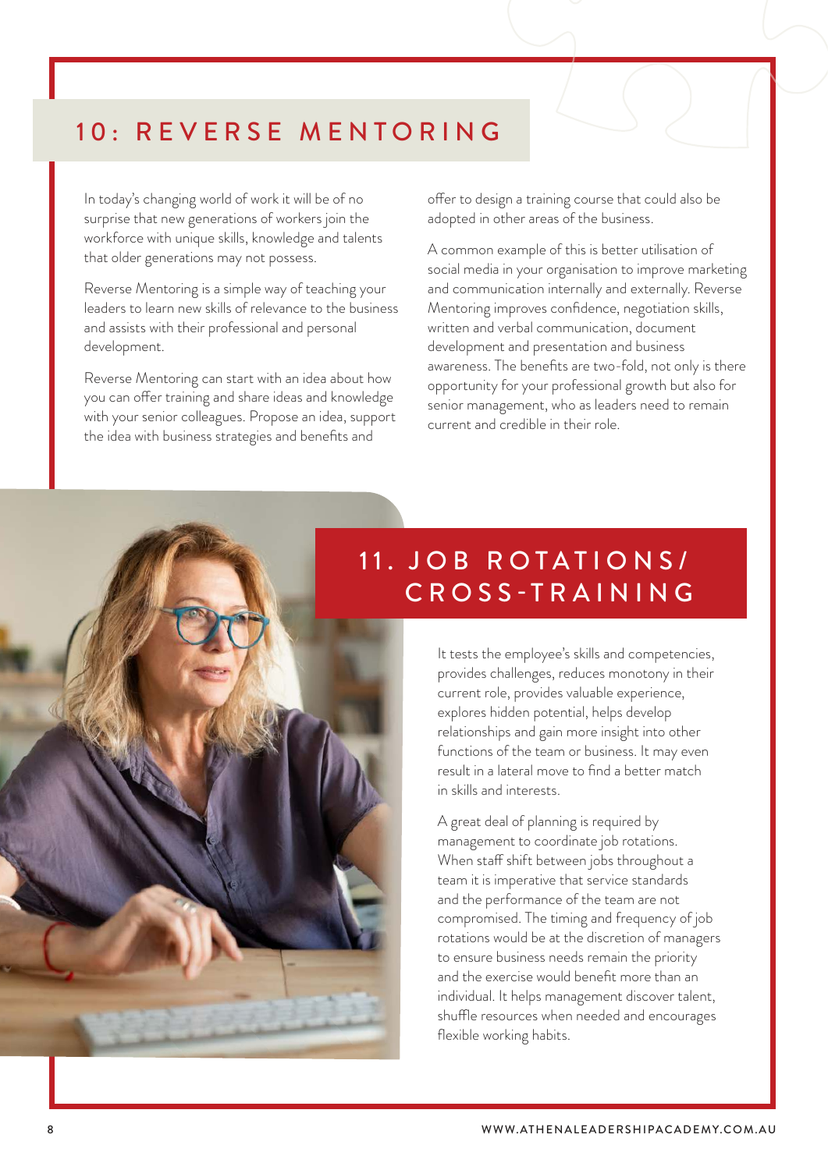### 10: REVERSE MENTORING

In today's changing world of work it will be of no surprise that new generations of workers join the workforce with unique skills, knowledge and talents that older generations may not possess.

Reverse Mentoring is a simple way of teaching your leaders to learn new skills of relevance to the business and assists with their professional and personal development.

Reverse Mentoring can start with an idea about how you can offer training and share ideas and knowledge with your senior colleagues. Propose an idea, support the idea with business strategies and benefits and

offer to design a training course that could also be adopted in other areas of the business.

A common example of this is better utilisation of social media in your organisation to improve marketing and communication internally and externally. Reverse Mentoring improves confidence, negotiation skills, written and verbal communication, document development and presentation and business awareness. The benefits are two-fold, not only is there opportunity for your professional growth but also for senior management, who as leaders need to remain current and credible in their role.

## 11. JOB ROTATIONS/ CROSS-TRAINING

It tests the employee's skills and competencies, provides challenges, reduces monotony in their current role, provides valuable experience, explores hidden potential, helps develop relationships and gain more insight into other functions of the team or business. It may even result in a lateral move to find a better match in skills and interests.

A great deal of planning is required by management to coordinate job rotations. When staff shift between jobs throughout a team it is imperative that service standards and the performance of the team are not compromised. The timing and frequency of job rotations would be at the discretion of managers to ensure business needs remain the priority and the exercise would benefit more than an individual. It helps management discover talent, shuffle resources when needed and encourages flexible working habits.